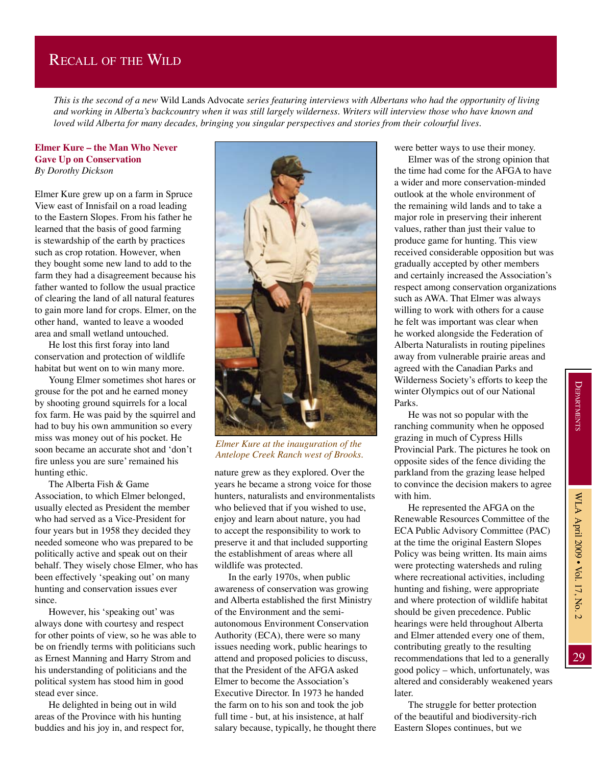## Recall of the Wild

*This is the second of a new* Wild Lands Advocate *series featuring interviews with Albertans who had the opportunity of living and working in Alberta's backcountry when it was still largely wilderness. Writers will interview those who have known and loved wild Alberta for many decades, bringing you singular perspectives and stories from their colourful lives.*

## **Elmer Kure – the Man Who Never Gave Up on Conservation** *By Dorothy Dickson*

Elmer Kure grew up on a farm in Spruce View east of Innisfail on a road leading to the Eastern Slopes. From his father he learned that the basis of good farming is stewardship of the earth by practices such as crop rotation. However, when they bought some new land to add to the farm they had a disagreement because his father wanted to follow the usual practice of clearing the land of all natural features to gain more land for crops. Elmer, on the other hand, wanted to leave a wooded area and small wetland untouched.

He lost this first foray into land conservation and protection of wildlife habitat but went on to win many more.

Young Elmer sometimes shot hares or grouse for the pot and he earned money by shooting ground squirrels for a local fox farm. He was paid by the squirrel and had to buy his own ammunition so every miss was money out of his pocket. He soon became an accurate shot and 'don't fire unless you are sure' remained his hunting ethic.

The Alberta Fish & Game Association, to which Elmer belonged, usually elected as President the member who had served as a Vice-President for four years but in 1958 they decided they needed someone who was prepared to be politically active and speak out on their behalf. They wisely chose Elmer, who has been effectively 'speaking out' on many hunting and conservation issues ever since.

However, his 'speaking out' was always done with courtesy and respect for other points of view, so he was able to be on friendly terms with politicians such as Ernest Manning and Harry Strom and his understanding of politicians and the political system has stood him in good stead ever since.

He delighted in being out in wild areas of the Province with his hunting buddies and his joy in, and respect for,



*Elmer Kure at the inauguration of the Antelope Creek Ranch west of Brooks.*

nature grew as they explored. Over the years he became a strong voice for those hunters, naturalists and environmentalists who believed that if you wished to use, enjoy and learn about nature, you had to accept the responsibility to work to preserve it and that included supporting the establishment of areas where all wildlife was protected.

In the early 1970s, when public awareness of conservation was growing and Alberta established the first Ministry of the Environment and the semiautonomous Environment Conservation Authority (ECA), there were so many issues needing work, public hearings to attend and proposed policies to discuss, that the President of the AFGA asked Elmer to become the Association's Executive Director. In 1973 he handed the farm on to his son and took the job full time - but, at his insistence, at half salary because, typically, he thought there were better ways to use their money.

Elmer was of the strong opinion that the time had come for the AFGA to have a wider and more conservation-minded outlook at the whole environment of the remaining wild lands and to take a major role in preserving their inherent values, rather than just their value to produce game for hunting. This view received considerable opposition but was gradually accepted by other members and certainly increased the Association's respect among conservation organizations such as AWA. That Elmer was always willing to work with others for a cause he felt was important was clear when he worked alongside the Federation of Alberta Naturalists in routing pipelines away from vulnerable prairie areas and agreed with the Canadian Parks and Wilderness Society's efforts to keep the winter Olympics out of our National Parks.

He was not so popular with the ranching community when he opposed grazing in much of Cypress Hills Provincial Park. The pictures he took on opposite sides of the fence dividing the parkland from the grazing lease helped to convince the decision makers to agree with him.

He represented the AFGA on the Renewable Resources Committee of the ECA Public Advisory Committee (PAC) at the time the original Eastern Slopes Policy was being written. Its main aims were protecting watersheds and ruling where recreational activities, including hunting and fishing, were appropriate and where protection of wildlife habitat should be given precedence. Public hearings were held throughout Alberta and Elmer attended every one of them, contributing greatly to the resulting recommendations that led to a generally good policy – which, unfortunately, was altered and considerably weakened years later.

The struggle for better protection of the beautiful and biodiversity-rich Eastern Slopes continues, but we

29